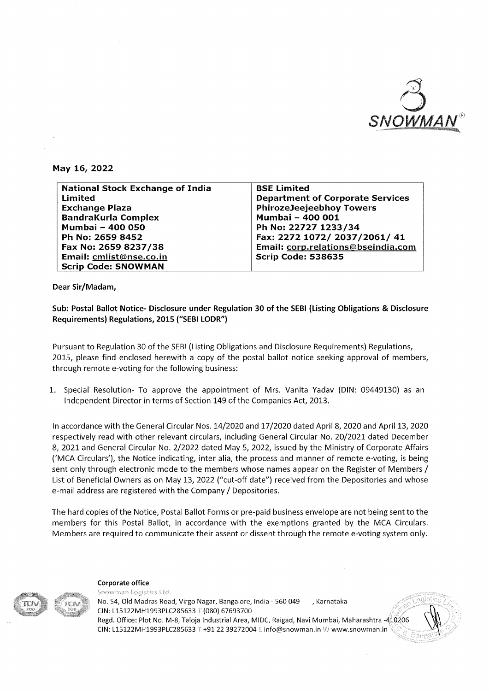

#### **May 16, 2022**

| <b>National Stock Exchange of India</b> | <b>BSE Limited</b>                      |
|-----------------------------------------|-----------------------------------------|
| Limited                                 | <b>Department of Corporate Services</b> |
| <b>Exchange Plaza</b>                   | <b>PhirozeJeejeebhoy Towers</b>         |
| <b>BandraKurla Complex</b>              | Mumbai - 400 001                        |
| Mumbai - 400 050                        | Ph No: 22727 1233/34                    |
| Ph No: 2659 8452                        | Fax: 2272 1072/ 2037/2061/ 41           |
| Fax No: 2659 8237/38                    | Email: corp.relations@bseindia.com      |
| Email: cmlist@nse.co.in                 | <b>Scrip Code: 538635</b>               |
| <b>Scrip Code: SNOWMAN</b>              |                                         |

**Dear Sir/Madam,** 

**Sub: Postal Ballot Notice- Disclosure under Regulation 30 of the SEBI (Listing Obligations & Disclosure Requirements) Regulations, 2015 ("SEBI LODR")** 

Pursuant to Regulation 30 of the SEBI (Listing Obligations and Disclosure Requirements) Regulations, 2015, please find enclosed herewith a copy of the postal ballot notice seeking approval of members, through remote e-voting for the following business:

1. Special Resolution- To approve the appointment of Mrs. Vanita Yadav (DIN: 09449130) as an Independent Director in terms of Section 149 of the Companies Act, 2013.

In accordance with the General Circular Nos. 14/2020 and 17/2020 dated April 8, 2020 and April 13, 2020 respectively read with other relevant circulars, including General Circular No. 2012021 dated December 8, 2021 and General Circular No. 2/2022 dated May 5, 2022, issued by the Ministry of Corporate Affairs ('MCA Circulars'), the Notice indicating, inter alia, the process and manner of remote e-voting, is being sent only through electronic mode to the members whose names appear on the Register of Members / List of Beneficial Owners as on May 13, 2022 ("cut-off date") received from the Depositories and whose e-mail address are registered with the Company / Depositories.

The hard copies of the Notice, Postal Ballot Forms or pre-paid business envelope are not being sent to the members for this Postal Ballot, in accordance with the exemptions granted by the MCA Circulars. Members are required to communicate their assent or dissent through the remote e-voting system only.

Corporate office Snowman Logistics Ltd. No. 54, Old Madras Road, Virgo Nagar, Bangalore, India- 560 049 , Karnataka CIN: L15122MH1993PLC285633 T (080) 67693700 Regd. Office: Plot No. M-8, Taloja Industrial Area, MIDC, Raigad, Navi Mumbai, Maharashtra -410206 CIN: L15122MH1993PLC285633 T +91 22 39272004 E info@snowman.in W www.snowman.in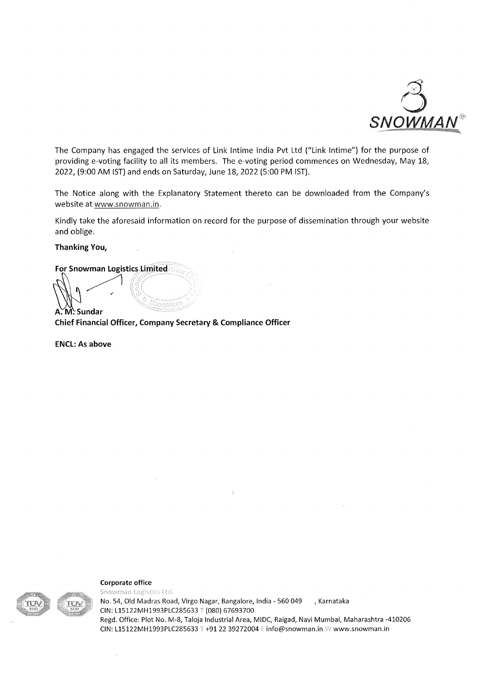

The Company has engaged the services of Link lntime India Pvt Ltd ("Link lntime") for the purpose of providing e-voting facility to all its members. The e-voting period commences on Wednesday, May 18, 2022, (9:00AM 1ST) and ends on Saturday, June 18, 2022 (5:00PM 1ST).

The Notice along with the Explanatory Statement thereto can be downloaded from the Company's website at www.snowman.in.

Kindly take the aforesaid information on record for the purpose of dissemination through your website and oblige.

**Thanking You,** 

For Snowman Logistics Limitedial

**Chief Financial Officer, Company Secretary & Compliance Officer** 

anaaloti

**ENCL: As above** 

 $\mathbb{W}$ 

**A.M. Sundar** 

**Corporate office** 

 $\bar{t}$ 



Snowman Logistics Ltd. No. 54, Old Madras Road, Virgo Nagar, Bangalore, India- 560 049 , Karnataka CIN: L15122MH1993PLC285633 T (080) 67693700 Regd. Office: Plot No. M-8, Taloja Industrial Area, MIDC, Raigad, Navi Mumbai, Maharashtra -410206 CIN: L15122MH1993PLC285633 T +91 22 39272004 E info@snowman.in W www.snowman.in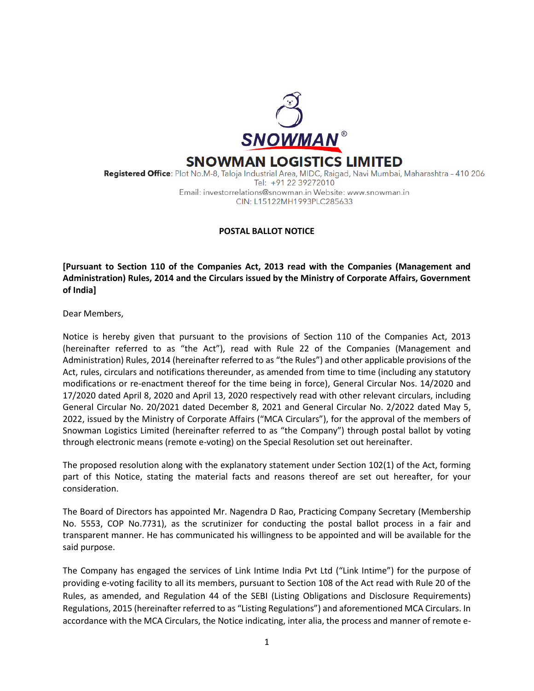

Registered Office: Plot No.M-8, Taloja Industrial Area, MIDC, Raigad, Navi Mumbai, Maharashtra - 410 206 Tel: +91 22 39272010 Email: investorrelations@snowman.in Website: www.snowman.in CIN: L15122MH1993PLC285633

# **POSTAL BALLOT NOTICE**

**[Pursuant to Section 110 of the Companies Act, 2013 read with the Companies (Management and Administration) Rules, 2014 and the Circulars issued by the Ministry of Corporate Affairs, Government of India]**

Dear Members,

Notice is hereby given that pursuant to the provisions of Section 110 of the Companies Act, 2013 (hereinafter referred to as "the Act"), read with Rule 22 of the Companies (Management and Administration) Rules, 2014 (hereinafter referred to as "the Rules") and other applicable provisions of the Act, rules, circulars and notifications thereunder, as amended from time to time (including any statutory modifications or re-enactment thereof for the time being in force), General Circular Nos. 14/2020 and 17/2020 dated April 8, 2020 and April 13, 2020 respectively read with other relevant circulars, including General Circular No. 20/2021 dated December 8, 2021 and General Circular No. 2/2022 dated May 5, 2022, issued by the Ministry of Corporate Affairs ("MCA Circulars"), for the approval of the members of Snowman Logistics Limited (hereinafter referred to as "the Company") through postal ballot by voting through electronic means (remote e-voting) on the Special Resolution set out hereinafter.

The proposed resolution along with the explanatory statement under Section 102(1) of the Act, forming part of this Notice, stating the material facts and reasons thereof are set out hereafter, for your consideration.

The Board of Directors has appointed Mr. Nagendra D Rao, Practicing Company Secretary (Membership No. 5553, COP No.7731), as the scrutinizer for conducting the postal ballot process in a fair and transparent manner. He has communicated his willingness to be appointed and will be available for the said purpose.

The Company has engaged the services of Link Intime India Pvt Ltd ("Link Intime") for the purpose of providing e-voting facility to all its members, pursuant to Section 108 of the Act read with Rule 20 of the Rules, as amended, and Regulation 44 of the SEBI (Listing Obligations and Disclosure Requirements) Regulations, 2015 (hereinafter referred to as "Listing Regulations") and aforementioned MCA Circulars. In accordance with the MCA Circulars, the Notice indicating, inter alia, the process and manner of remote e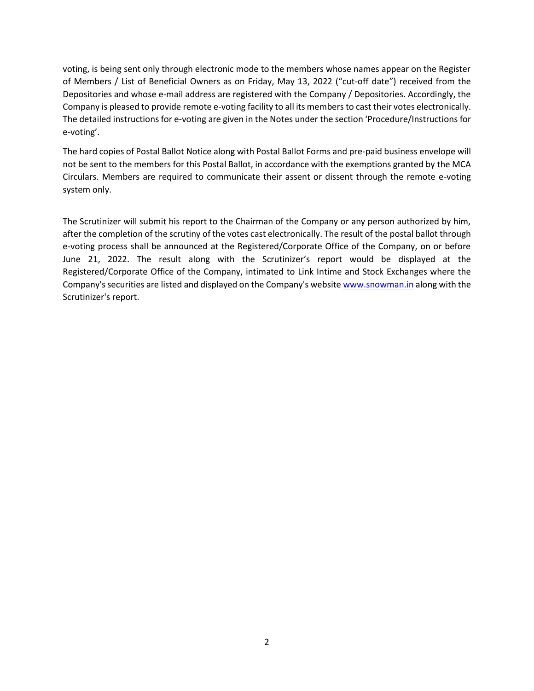voting, is being sent only through electronic mode to the members whose names appear on the Register of Members / List of Beneficial Owners as on Friday, May 13, 2022 ("cut-off date") received from the Depositories and whose e-mail address are registered with the Company / Depositories. Accordingly, the Company is pleased to provide remote e-voting facility to all its members to cast their votes electronically. The detailed instructions for e-voting are given in the Notes under the section 'Procedure/Instructions for e-voting'.

The hard copies of Postal Ballot Notice along with Postal Ballot Forms and pre-paid business envelope will not be sent to the members for this Postal Ballot, in accordance with the exemptions granted by the MCA Circulars. Members are required to communicate their assent or dissent through the remote e-voting system only.

The Scrutinizer will submit his report to the Chairman of the Company or any person authorized by him, after the completion of the scrutiny of the votes cast electronically. The result of the postal ballot through e-voting process shall be announced at the Registered/Corporate Office of the Company, on or before June 21, 2022. The result along with the Scrutinizer's report would be displayed at the Registered/Corporate Office of the Company, intimated to Link Intime and Stock Exchanges where the Company's securities are listed and displayed on the Company's websit[e www.snowman.in](http://www.snowman.in/) along with the Scrutinizer's report.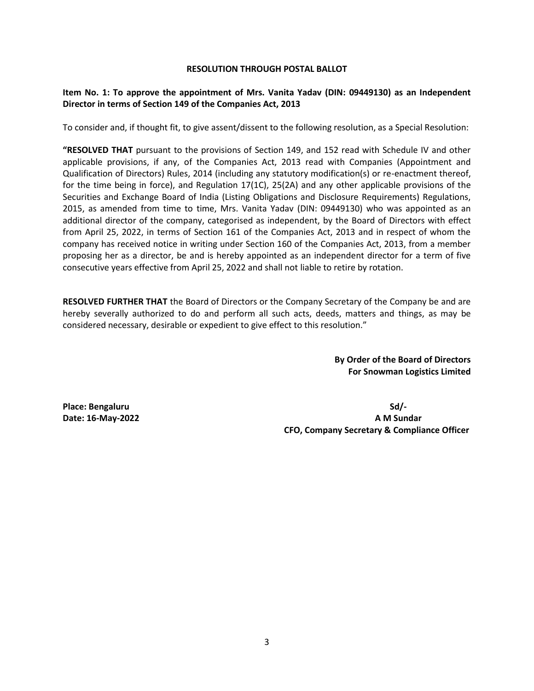#### **RESOLUTION THROUGH POSTAL BALLOT**

## **Item No. 1: To approve the appointment of Mrs. Vanita Yadav (DIN: 09449130) as an Independent Director in terms of Section 149 of the Companies Act, 2013**

To consider and, if thought fit, to give assent/dissent to the following resolution, as a Special Resolution:

**"RESOLVED THAT** pursuant to the provisions of Section 149, and 152 read with Schedule IV and other applicable provisions, if any, of the Companies Act, 2013 read with Companies (Appointment and Qualification of Directors) Rules, 2014 (including any statutory modification(s) or re-enactment thereof, for the time being in force), and Regulation 17(1C), 25(2A) and any other applicable provisions of the Securities and Exchange Board of India (Listing Obligations and Disclosure Requirements) Regulations, 2015, as amended from time to time, Mrs. Vanita Yadav (DIN: 09449130) who was appointed as an additional director of the company, categorised as independent, by the Board of Directors with effect from April 25, 2022, in terms of Section 161 of the Companies Act, 2013 and in respect of whom the company has received notice in writing under Section 160 of the Companies Act, 2013, from a member proposing her as a director, be and is hereby appointed as an independent director for a term of five consecutive years effective from April 25, 2022 and shall not liable to retire by rotation.

**RESOLVED FURTHER THAT** the Board of Directors or the Company Secretary of the Company be and are hereby severally authorized to do and perform all such acts, deeds, matters and things, as may be considered necessary, desirable or expedient to give effect to this resolution."

> **By Order of the Board of Directors For Snowman Logistics Limited**

**Place: Bengaluru Sd/- Date: 16-May-2022 A M Sundar CFO, Company Secretary & Compliance Officer**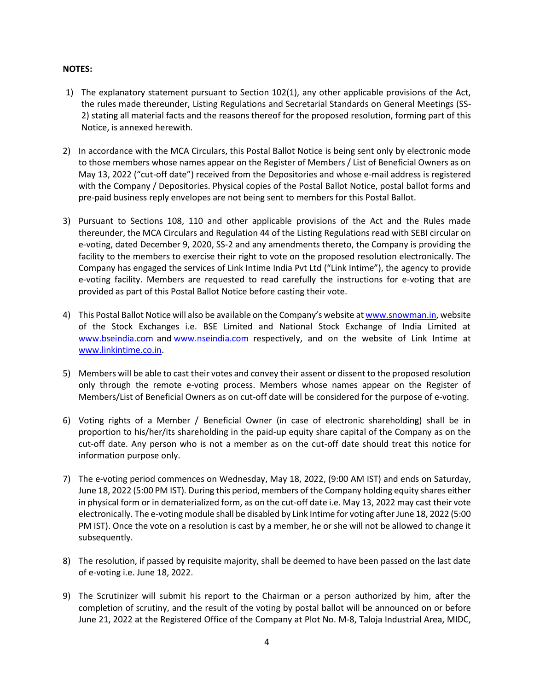#### **NOTES:**

- 1) The explanatory statement pursuant to Section 102(1), any other applicable provisions of the Act, the rules made thereunder, Listing Regulations and Secretarial Standards on General Meetings (SS-2) stating all material facts and the reasons thereof for the proposed resolution, forming part of this Notice, is annexed herewith.
- 2) In accordance with the MCA Circulars, this Postal Ballot Notice is being sent only by electronic mode to those members whose names appear on the Register of Members / List of Beneficial Owners as on May 13, 2022 ("cut-off date") received from the Depositories and whose e-mail address is registered with the Company / Depositories. Physical copies of the Postal Ballot Notice, postal ballot forms and pre-paid business reply envelopes are not being sent to members for this Postal Ballot.
- 3) Pursuant to Sections 108, 110 and other applicable provisions of the Act and the Rules made thereunder, the MCA Circulars and Regulation 44 of the Listing Regulations read with SEBI circular on e-voting, dated December 9, 2020, SS-2 and any amendments thereto, the Company is providing the facility to the members to exercise their right to vote on the proposed resolution electronically. The Company has engaged the services of Link Intime India Pvt Ltd ("Link Intime"), the agency to provide e-voting facility. Members are requested to read carefully the instructions for e-voting that are provided as part of this Postal Ballot Notice before casting their vote.
- 4) This Postal Ballot Notice will also be available on the Company's website at [www.snowman.in,](http://www.snowman.in/) website of the Stock Exchanges i.e. BSE Limited and National Stock Exchange of India Limited at [www.bseindia.com](http://www.bseindia.com/) and [www.nseindia.com](http://www.nseindia.com/) respectively, and on the website of Link Intime at [www.linkintime.co.in.](http://www.linkintime.co.in/)
- 5) Members will be able to cast their votes and convey their assent or dissent to the proposed resolution only through the remote e-voting process. Members whose names appear on the Register of Members/List of Beneficial Owners as on cut-off date will be considered for the purpose of e-voting.
- 6) Voting rights of a Member / Beneficial Owner (in case of electronic shareholding) shall be in proportion to his/her/its shareholding in the paid-up equity share capital of the Company as on the cut-off date. Any person who is not a member as on the cut-off date should treat this notice for information purpose only.
- 7) The e-voting period commences on Wednesday, May 18, 2022, (9:00 AM IST) and ends on Saturday, June 18, 2022 (5:00 PM IST). During this period, members of the Company holding equity shares either in physical form or in dematerialized form, as on the cut-off date i.e. May 13, 2022 may cast their vote electronically. The e-voting module shall be disabled by Link Intime for voting after June 18, 2022 (5:00 PM IST). Once the vote on a resolution is cast by a member, he or she will not be allowed to change it subsequently.
- 8) The resolution, if passed by requisite majority, shall be deemed to have been passed on the last date of e-voting i.e. June 18, 2022.
- 9) The Scrutinizer will submit his report to the Chairman or a person authorized by him, after the completion of scrutiny, and the result of the voting by postal ballot will be announced on or before June 21, 2022 at the Registered Office of the Company at Plot No. M-8, Taloja Industrial Area, MIDC,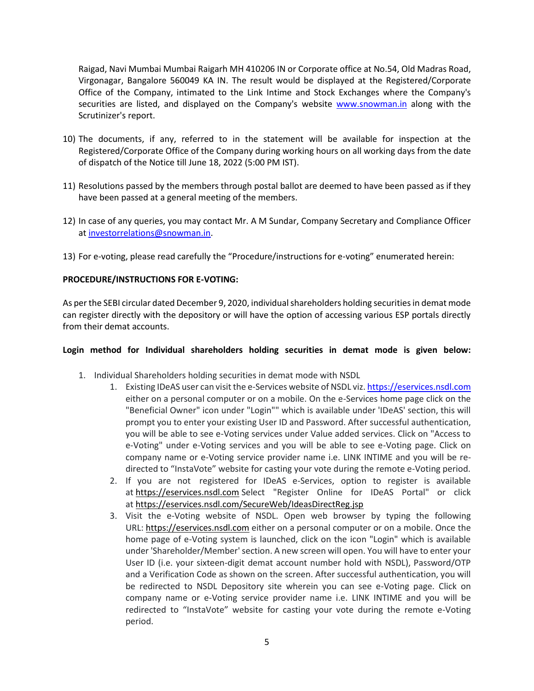Raigad, Navi Mumbai Mumbai Raigarh MH 410206 IN or Corporate office at No.54, Old Madras Road, Virgonagar, Bangalore 560049 KA IN. The result would be displayed at the Registered/Corporate Office of the Company, intimated to the Link Intime and Stock Exchanges where the Company's securities are listed, and displayed on the Company's website [www.snowman.in](http://www.snowman.in/) along with the Scrutinizer's report.

- 10) The documents, if any, referred to in the statement will be available for inspection at the Registered/Corporate Office of the Company during working hours on all working days from the date of dispatch of the Notice till June 18, 2022 (5:00 PM IST).
- 11) Resolutions passed by the members through postal ballot are deemed to have been passed as if they have been passed at a general meeting of the members.
- 12) In case of any queries, you may contact Mr. A M Sundar, Company Secretary and Compliance Officer a[t investorrelations@snowman.in.](mailto:investorrelations@snowman.in)
- 13) For e-voting, please read carefully the "Procedure/instructions for e-voting" enumerated herein:

# **PROCEDURE/INSTRUCTIONS FOR E-VOTING:**

As per the SEBI circular dated December 9, 2020, individual shareholders holding securities in demat mode can register directly with the depository or will have the option of accessing various ESP portals directly from their demat accounts.

## **Login method for Individual shareholders holding securities in demat mode is given below:**

- 1. Individual Shareholders holding securities in demat mode with NSDL
	- 1. Existing IDeAS user can visit the e-Services website of NSDL viz[. https://eservices.nsdl.com](https://eservices.nsdl.com/) either on a personal computer or on a mobile. On the e-Services home page click on the "Beneficial Owner" icon under "Login"" which is available under 'IDeAS' section, this will prompt you to enter your existing User ID and Password. After successful authentication, you will be able to see e-Voting services under Value added services. Click on "Access to e-Voting" under e-Voting services and you will be able to see e-Voting page. Click on company name or e-Voting service provider name i.e. LINK INTIME and you will be redirected to "InstaVote" website for casting your vote during the remote e-Voting period.
	- 2. If you are not registered for IDeAS e-Services, option to register is available at [https://eservices.nsdl.com](https://eservices.nsdl.com/) Select "Register Online for IDeAS Portal" or click at <https://eservices.nsdl.com/SecureWeb/IdeasDirectReg.jsp>
	- 3. Visit the e-Voting website of NSDL. Open web browser by typing the following URL: [https://eservices.nsdl.com](https://eservices.nsdl.com/) either on a personal computer or on a mobile. Once the home page of e-Voting system is launched, click on the icon "Login" which is available under 'Shareholder/Member' section. A new screen will open. You will have to enter your User ID (i.e. your sixteen-digit demat account number hold with NSDL), Password/OTP and a Verification Code as shown on the screen. After successful authentication, you will be redirected to NSDL Depository site wherein you can see e-Voting page. Click on company name or e-Voting service provider name i.e. LINK INTIME and you will be redirected to "InstaVote" website for casting your vote during the remote e-Voting period.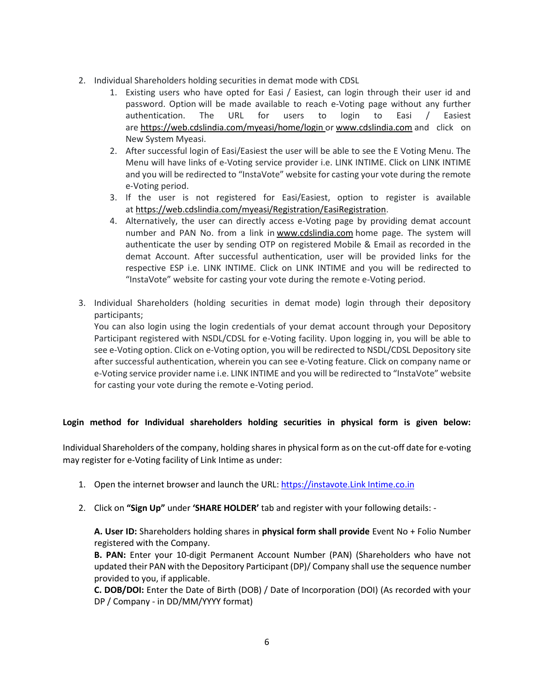- 2. Individual Shareholders holding securities in demat mode with CDSL
	- 1. Existing users who have opted for Easi / Easiest, can login through their user id and password. Option will be made available to reach e-Voting page without any further authentication. The URL for users to login to Easi / Easiest are <https://web.cdslindia.com/myeasi/home/login> or [www.cdslindia.com](https://www.cdslindia.com/) and click on New System Myeasi.
	- 2. After successful login of Easi/Easiest the user will be able to see the E Voting Menu. The Menu will have links of e-Voting service provider i.e. LINK INTIME. Click on LINK INTIME and you will be redirected to "InstaVote" website for casting your vote during the remote e-Voting period.
	- 3. If the user is not registered for Easi/Easiest, option to register is available at [https://web.cdslindia.com/myeasi/Registration/EasiRegistration.](https://web.cdslindia.com/myeasi/Registration/EasiRegistration)
	- 4. Alternatively, the user can directly access e-Voting page by providing demat account number and PAN No. from a link in [www.cdslindia.com](https://www.cdslindia.com/) home page. The system will authenticate the user by sending OTP on registered Mobile & Email as recorded in the demat Account. After successful authentication, user will be provided links for the respective ESP i.e. LINK INTIME. Click on LINK INTIME and you will be redirected to "InstaVote" website for casting your vote during the remote e-Voting period.
- 3. Individual Shareholders (holding securities in demat mode) login through their depository participants;

You can also login using the login credentials of your demat account through your Depository Participant registered with NSDL/CDSL for e-Voting facility. Upon logging in, you will be able to see e-Voting option. Click on e-Voting option, you will be redirected to NSDL/CDSL Depository site after successful authentication, wherein you can see e-Voting feature. Click on company name or e-Voting service provider name i.e. LINK INTIME and you will be redirected to "InstaVote" website for casting your vote during the remote e-Voting period.

# **Login method for Individual shareholders holding securities in physical form is given below:**

Individual Shareholders of the company, holding shares in physical form as on the cut-off date for e-voting may register for e-Voting facility of Link Intime as under:

- 1. Open the internet browser and launch the URL[: https://instavote.Link Intime.co.in](https://instavote.linkintime.co.in/)
- 2. Click on **"Sign Up"** under **'SHARE HOLDER'** tab and register with your following details: -

**A. User ID:** Shareholders holding shares in **physical form shall provide** Event No + Folio Number registered with the Company.

**B. PAN:** Enter your 10-digit Permanent Account Number (PAN) (Shareholders who have not updated their PAN with the Depository Participant (DP)/ Company shall use the sequence number provided to you, if applicable.

**C. DOB/DOI:** Enter the Date of Birth (DOB) / Date of Incorporation (DOI) (As recorded with your DP / Company - in DD/MM/YYYY format)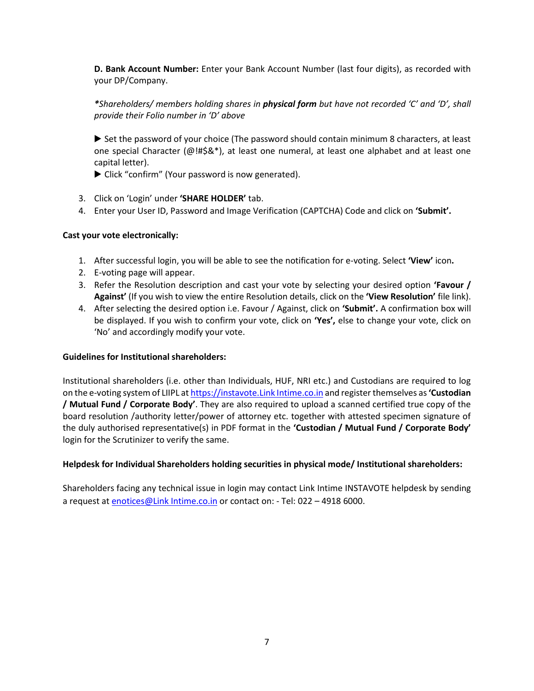**D. Bank Account Number:** Enter your Bank Account Number (last four digits), as recorded with your DP/Company.

*\*Shareholders/ members holding shares in physical form but have not recorded 'C' and 'D', shall provide their Folio number in 'D' above*

▶ Set the password of your choice (The password should contain minimum 8 characters, at least one special Character (@!#\$&\*), at least one numeral, at least one alphabet and at least one capital letter).

▶ Click "confirm" (Your password is now generated).

- 3. Click on 'Login' under **'SHARE HOLDER'** tab.
- 4. Enter your User ID, Password and Image Verification (CAPTCHA) Code and click on **'Submit'.**

## **Cast your vote electronically:**

- 1. After successful login, you will be able to see the notification for e-voting. Select **'View'** icon**.**
- 2. E-voting page will appear.
- 3. Refer the Resolution description and cast your vote by selecting your desired option **'Favour / Against'** (If you wish to view the entire Resolution details, click on the **'View Resolution'** file link).
- 4. After selecting the desired option i.e. Favour / Against, click on **'Submit'.** A confirmation box will be displayed. If you wish to confirm your vote, click on **'Yes',** else to change your vote, click on 'No' and accordingly modify your vote.

## **Guidelines for Institutional shareholders:**

Institutional shareholders (i.e. other than Individuals, HUF, NRI etc.) and Custodians are required to log on the e-voting system of LIIPL a[t https://instavote.Link Intime.co.in](https://instavote.linkintime.co.in/) and register themselves as **'Custodian / Mutual Fund / Corporate Body'**. They are also required to upload a scanned certified true copy of the board resolution /authority letter/power of attorney etc. together with attested specimen signature of the duly authorised representative(s) in PDF format in the **'Custodian / Mutual Fund / Corporate Body'**  login for the Scrutinizer to verify the same.

## **Helpdesk for Individual Shareholders holding securities in physical mode/ Institutional shareholders:**

Shareholders facing any technical issue in login may contact Link Intime INSTAVOTE helpdesk by sending a request at [enotices@Link Intime.co.in](mailto:enotices@linkintime.co.in) or contact on: - Tel: 022 - 4918 6000.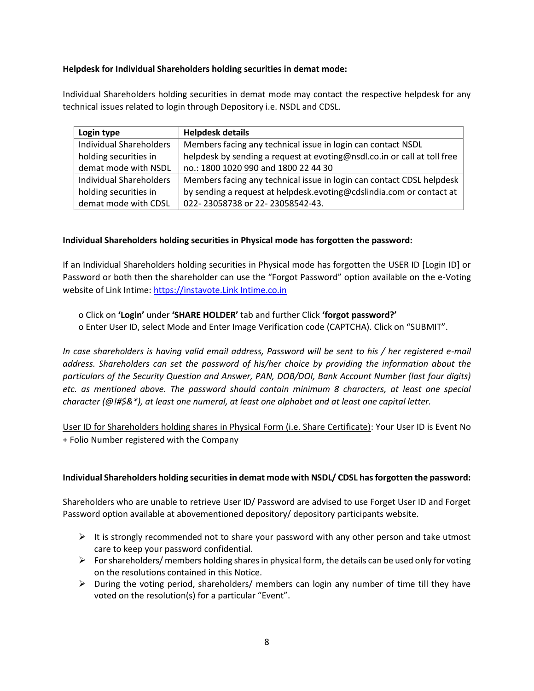# **Helpdesk for Individual Shareholders holding securities in demat mode:**

Individual Shareholders holding securities in demat mode may contact the respective helpdesk for any technical issues related to login through Depository i.e. NSDL and CDSL.

| Login type                     | <b>Helpdesk details</b>                                                  |
|--------------------------------|--------------------------------------------------------------------------|
| <b>Individual Shareholders</b> | Members facing any technical issue in login can contact NSDL             |
| holding securities in          | helpdesk by sending a request at evoting@nsdl.co.in or call at toll free |
| demat mode with NSDL           | no.: 1800 1020 990 and 1800 22 44 30                                     |
| <b>Individual Shareholders</b> | Members facing any technical issue in login can contact CDSL helpdesk    |
| holding securities in          | by sending a request at helpdesk.evoting@cdslindia.com or contact at     |
| demat mode with CDSL           | 022-23058738 or 22-23058542-43.                                          |

# **Individual Shareholders holding securities in Physical mode has forgotten the password:**

If an Individual Shareholders holding securities in Physical mode has forgotten the USER ID [Login ID] or Password or both then the shareholder can use the "Forgot Password" option available on the e-Voting website of Link Intime: [https://instavote.Link Intime.co.in](https://instavote.linkintime.co.in/)

o Click on **'Login'** under **'SHARE HOLDER'** tab and further Click **'forgot password?'**  o Enter User ID, select Mode and Enter Image Verification code (CAPTCHA). Click on "SUBMIT".

*In case shareholders is having valid email address, Password will be sent to his / her registered e-mail address. Shareholders can set the password of his/her choice by providing the information about the particulars of the Security Question and Answer, PAN, DOB/DOI, Bank Account Number (last four digits) etc. as mentioned above. The password should contain minimum 8 characters, at least one special character (@!#\$&\*), at least one numeral, at least one alphabet and at least one capital letter.* 

User ID for Shareholders holding shares in Physical Form (i.e. Share Certificate): Your User ID is Event No + Folio Number registered with the Company

## **Individual Shareholders holding securities in demat mode with NSDL/ CDSL has forgotten the password:**

Shareholders who are unable to retrieve User ID/ Password are advised to use Forget User ID and Forget Password option available at abovementioned depository/ depository participants website.

- $\triangleright$  It is strongly recommended not to share your password with any other person and take utmost care to keep your password confidential.
- $\triangleright$  For shareholders/ members holding shares in physical form, the details can be used only for voting on the resolutions contained in this Notice.
- $\triangleright$  During the voting period, shareholders/ members can login any number of time till they have voted on the resolution(s) for a particular "Event".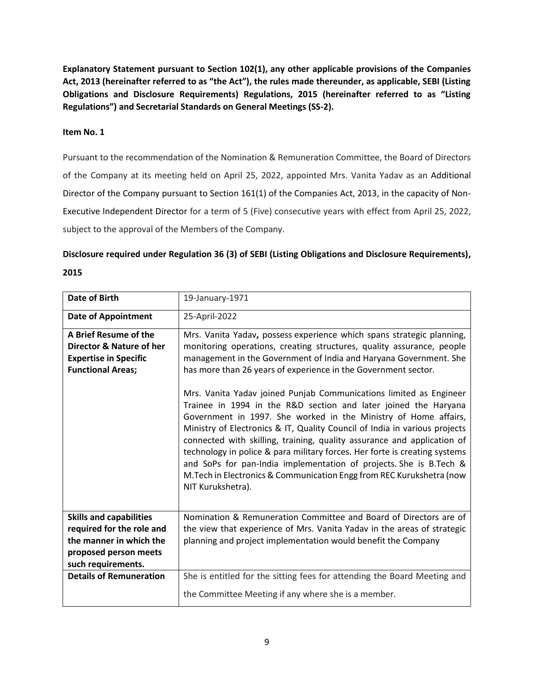**Explanatory Statement pursuant to Section 102(1), any other applicable provisions of the Companies Act, 2013 (hereinafter referred to as "the Act"), the rules made thereunder, as applicable, SEBI (Listing Obligations and Disclosure Requirements) Regulations, 2015 (hereinafter referred to as "Listing Regulations") and Secretarial Standards on General Meetings (SS-2).**

# **Item No. 1**

Pursuant to the recommendation of the Nomination & Remuneration Committee, the Board of Directors of the Company at its meeting held on April 25, 2022, appointed Mrs. Vanita Yadav as an Additional Director of the Company pursuant to Section 161(1) of the Companies Act, 2013, in the capacity of Non-Executive Independent Director for a term of 5 (Five) consecutive years with effect from April 25, 2022, subject to the approval of the Members of the Company.

# **Disclosure required under Regulation 36 (3) of SEBI (Listing Obligations and Disclosure Requirements), 2015**

| <b>Date of Birth</b>                                                                                                                  | 19-January-1971                                                                                                                                                                                                                                                                                                                                                                                                                                                                                                                                                                                                     |
|---------------------------------------------------------------------------------------------------------------------------------------|---------------------------------------------------------------------------------------------------------------------------------------------------------------------------------------------------------------------------------------------------------------------------------------------------------------------------------------------------------------------------------------------------------------------------------------------------------------------------------------------------------------------------------------------------------------------------------------------------------------------|
| <b>Date of Appointment</b>                                                                                                            | 25-April-2022                                                                                                                                                                                                                                                                                                                                                                                                                                                                                                                                                                                                       |
| A Brief Resume of the<br>Director & Nature of her<br><b>Expertise in Specific</b><br><b>Functional Areas;</b>                         | Mrs. Vanita Yadav, possess experience which spans strategic planning,<br>monitoring operations, creating structures, quality assurance, people<br>management in the Government of India and Haryana Government. She<br>has more than 26 years of experience in the Government sector.                                                                                                                                                                                                                                                                                                                               |
|                                                                                                                                       | Mrs. Vanita Yadav joined Punjab Communications limited as Engineer<br>Trainee in 1994 in the R&D section and later joined the Haryana<br>Government in 1997. She worked in the Ministry of Home affairs,<br>Ministry of Electronics & IT, Quality Council of India in various projects<br>connected with skilling, training, quality assurance and application of<br>technology in police & para military forces. Her forte is creating systems<br>and SoPs for pan-India implementation of projects. She is B.Tech &<br>M. Tech in Electronics & Communication Engg from REC Kurukshetra (now<br>NIT Kurukshetra). |
| <b>Skills and capabilities</b><br>required for the role and<br>the manner in which the<br>proposed person meets<br>such requirements. | Nomination & Remuneration Committee and Board of Directors are of<br>the view that experience of Mrs. Vanita Yadav in the areas of strategic<br>planning and project implementation would benefit the Company                                                                                                                                                                                                                                                                                                                                                                                                       |
| <b>Details of Remuneration</b>                                                                                                        | She is entitled for the sitting fees for attending the Board Meeting and<br>the Committee Meeting if any where she is a member.                                                                                                                                                                                                                                                                                                                                                                                                                                                                                     |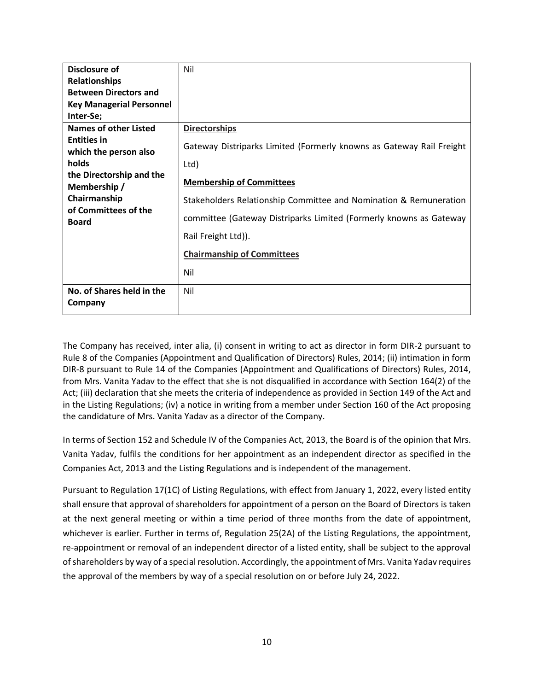| Disclosure of                                        | Nil                                                                  |
|------------------------------------------------------|----------------------------------------------------------------------|
| <b>Relationships</b>                                 |                                                                      |
| <b>Between Directors and</b>                         |                                                                      |
| <b>Key Managerial Personnel</b>                      |                                                                      |
| Inter-Se;                                            |                                                                      |
| <b>Names of other Listed</b>                         | <b>Directorships</b>                                                 |
| <b>Entities in</b><br>which the person also<br>holds | Gateway Distriparks Limited (Formerly knowns as Gateway Rail Freight |
|                                                      | Ltd)                                                                 |
| the Directorship and the<br>Membership/              | <b>Membership of Committees</b>                                      |
| Chairmanship<br>of Committees of the                 | Stakeholders Relationship Committee and Nomination & Remuneration    |
| <b>Board</b>                                         | committee (Gateway Distriparks Limited (Formerly knowns as Gateway   |
|                                                      | Rail Freight Ltd)).                                                  |
|                                                      | <b>Chairmanship of Committees</b>                                    |
|                                                      | Nil                                                                  |
| No. of Shares held in the                            | Nil                                                                  |
| Company                                              |                                                                      |

The Company has received, inter alia, (i) consent in writing to act as director in form DIR-2 pursuant to Rule 8 of the Companies (Appointment and Qualification of Directors) Rules, 2014; (ii) intimation in form DIR-8 pursuant to Rule 14 of the Companies (Appointment and Qualifications of Directors) Rules, 2014, from Mrs. Vanita Yadav to the effect that she is not disqualified in accordance with Section 164(2) of the Act; (iii) declaration that she meets the criteria of independence as provided in Section 149 of the Act and in the Listing Regulations; (iv) a notice in writing from a member under Section 160 of the Act proposing the candidature of Mrs. Vanita Yadav as a director of the Company.

In terms of Section 152 and Schedule IV of the Companies Act, 2013, the Board is of the opinion that Mrs. Vanita Yadav, fulfils the conditions for her appointment as an independent director as specified in the Companies Act, 2013 and the Listing Regulations and is independent of the management.

Pursuant to Regulation 17(1C) of Listing Regulations, with effect from January 1, 2022, every listed entity shall ensure that approval of shareholders for appointment of a person on the Board of Directors is taken at the next general meeting or within a time period of three months from the date of appointment, whichever is earlier. Further in terms of, Regulation 25(2A) of the Listing Regulations, the appointment, re-appointment or removal of an independent director of a listed entity, shall be subject to the approval of shareholders by way of a special resolution. Accordingly, the appointment of Mrs. Vanita Yadav requires the approval of the members by way of a special resolution on or before July 24, 2022.